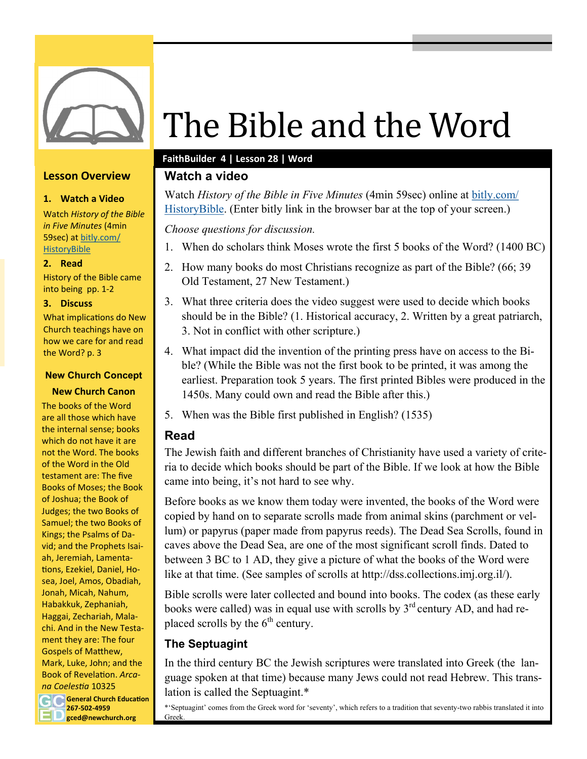

### **Lesson Overview**

#### **1. Watch a Video**

Watch *History of the Bible in Five Minutes* (4min 59sec) at [bitly.com/](https://www.youtube.com/watch?v=H4u474ZYQeY) **[HistoryBible](https://www.youtube.com/watch?v=H4u474ZYQeY)** 

#### **2. Read**

History of the Bible came into being pp. 1-2

#### **3. Discuss**

What implications do New Church teachings have on how we care for and read the Word? p. 3

#### **New Church Concept**

#### **New Church Canon**

**General Church Education 267-502-4959** The books of the Word are all those which have the internal sense; books which do not have it are not the Word. The books of the Word in the Old testament are: The five Books of Moses; the Book of Joshua; the Book of Judges; the two Books of Samuel; the two Books of Kings; the Psalms of David; and the Prophets Isaiah, Jeremiah, Lamentations, Ezekiel, Daniel, Hosea, Joel, Amos, Obadiah, Jonah, Micah, Nahum, Habakkuk, Zephaniah, Haggai, Zechariah, Malachi. And in the New Testament they are: The four Gospels of Matthew, Mark, Luke, John; and the Book of Revelation. *Arcana Coelestia* 10325

**gced@newchurch.org**

# The Bible and the Word

### **FaithBuilder 4 | Lesson 28 | Word**

## **Watch a video**

Watch *History of the Bible in Five Minutes* (4min 59sec) online at [bitly.com/](https://www.youtube.com/watch?v=H4u474ZYQeY) [HistoryBible.](https://www.youtube.com/watch?v=H4u474ZYQeY) (Enter bitly link in the browser bar at the top of your screen.)

*Choose questions for discussion.*

- 1. When do scholars think Moses wrote the first 5 books of the Word? (1400 BC)
- 2. How many books do most Christians recognize as part of the Bible? (66; 39 Old Testament, 27 New Testament.)
- 3. What three criteria does the video suggest were used to decide which books should be in the Bible? (1. Historical accuracy, 2. Written by a great patriarch, 3. Not in conflict with other scripture.)
- 4. What impact did the invention of the printing press have on access to the Bible? (While the Bible was not the first book to be printed, it was among the earliest. Preparation took 5 years. The first printed Bibles were produced in the 1450s. Many could own and read the Bible after this.)
- 5. When was the Bible first published in English? (1535)

## **Read**

The Jewish faith and different branches of Christianity have used a variety of criteria to decide which books should be part of the Bible. If we look at how the Bible came into being, it's not hard to see why.

Before books as we know them today were invented, the books of the Word were copied by hand on to separate scrolls made from animal skins (parchment or vellum) or papyrus (paper made from papyrus reeds). The Dead Sea Scrolls, found in caves above the Dead Sea, are one of the most significant scroll finds. Dated to between 3 BC to 1 AD, they give a picture of what the books of the Word were like at that time. (See samples of scrolls at http://dss.collections.imj.org.il/).

Bible scrolls were later collected and bound into books. The codex (as these early books were called) was in equal use with scrolls by  $3<sup>rd</sup>$  century AD, and had replaced scrolls by the  $6<sup>th</sup>$  century.

## **The Septuagint**

In the third century BC the Jewish scriptures were translated into Greek (the language spoken at that time) because many Jews could not read Hebrew. This translation is called the Septuagint.\*

\*'Septuagint' comes from the Greek word for 'seventy', which refers to a tradition that seventy-two rabbis translated it into Greek.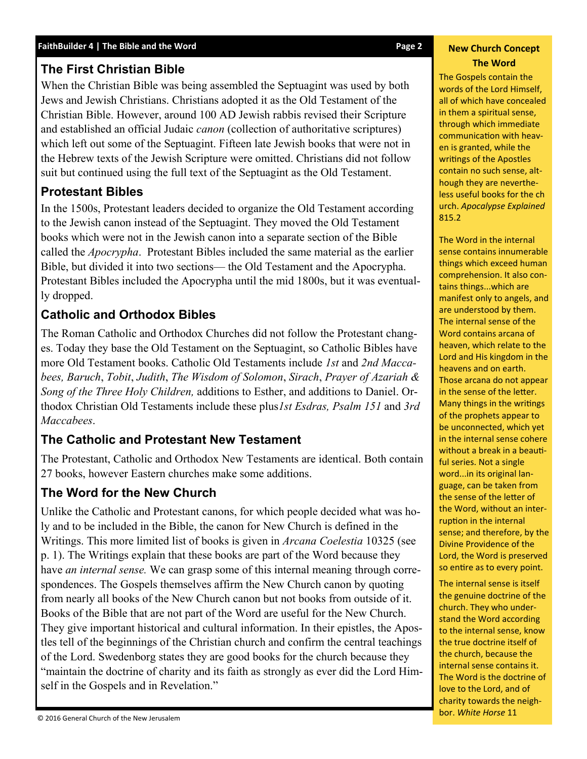## **The First Christian Bible**

When the Christian Bible was being assembled the Septuagint was used by both Jews and Jewish Christians. Christians adopted it as the Old Testament of the Christian Bible. However, around 100 AD Jewish rabbis revised their Scripture and established an official Judaic *canon* (collection of authoritative scriptures) which left out some of the Septuagint. Fifteen late Jewish books that were not in the Hebrew texts of the Jewish Scripture were omitted. Christians did not follow suit but continued using the full text of the Septuagint as the Old Testament.

## **Protestant Bibles**

In the 1500s, Protestant leaders decided to organize the Old Testament according to the Jewish canon instead of the Septuagint. They moved the Old Testament books which were not in the Jewish canon into a separate section of the Bible called the *Apocrypha*. Protestant Bibles included the same material as the earlier Bible, but divided it into two sections— the Old Testament and the Apocrypha. Protestant Bibles included the Apocrypha until the mid 1800s, but it was eventually dropped.

# **Catholic and Orthodox Bibles**

The Roman Catholic and Orthodox Churches did not follow the Protestant changes. Today they base the Old Testament on the Septuagint, so Catholic Bibles have more Old Testament books. Catholic Old Testaments include *1st* and *2nd Maccabees, Baruch*, *Tobit*, *Judith*, *The Wisdom of Solomon*, *Sirach*, *Prayer of Azariah & Song of the Three Holy Children,* additions to Esther, and additions to Daniel. Orthodox Christian Old Testaments include these plus*1st Esdras, Psalm 151* and *3rd Maccabees*.

# **The Catholic and Protestant New Testament**

The Protestant, Catholic and Orthodox New Testaments are identical. Both contain 27 books, however Eastern churches make some additions.

# **The Word for the New Church**

Unlike the Catholic and Protestant canons, for which people decided what was holy and to be included in the Bible, the canon for New Church is defined in the Writings. This more limited list of books is given in *Arcana Coelestia* 10325 (see p. 1). The Writings explain that these books are part of the Word because they have *an internal sense.* We can grasp some of this internal meaning through correspondences. The Gospels themselves affirm the New Church canon by quoting from nearly all books of the New Church canon but not books from outside of it. Books of the Bible that are not part of the Word are useful for the New Church. They give important historical and cultural information. In their epistles, the Apostles tell of the beginnings of the Christian church and confirm the central teachings of the Lord. Swedenborg states they are good books for the church because they "maintain the doctrine of charity and its faith as strongly as ever did the Lord Himself in the Gospels and in Revelation."

#### **New Church Concept The Word**

The Gospels contain the words of the Lord Himself, all of which have concealed in them a spiritual sense, through which immediate communication with heaven is granted, while the writings of the Apostles contain no such sense, although they are nevertheless useful books for the ch urch. *Apocalypse Explained*  815.2

The Word in the internal sense contains innumerable things which exceed human comprehension. It also contains things...which are manifest only to angels, and are understood by them. The internal sense of the Word contains arcana of heaven, which relate to the Lord and His kingdom in the heavens and on earth. Those arcana do not appear in the sense of the letter. Many things in the writings of the prophets appear to be unconnected, which yet in the internal sense cohere without a break in a beautiful series. Not a single word...in its original language, can be taken from the sense of the letter of the Word, without an interruption in the internal sense; and therefore, by the Divine Providence of the Lord, the Word is preserved so entire as to every point.

The internal sense is itself the genuine doctrine of the church. They who understand the Word according to the internal sense, know the true doctrine itself of the church, because the internal sense contains it. The Word is the doctrine of love to the Lord, and of charity towards the neighbor. *White Horse* 11